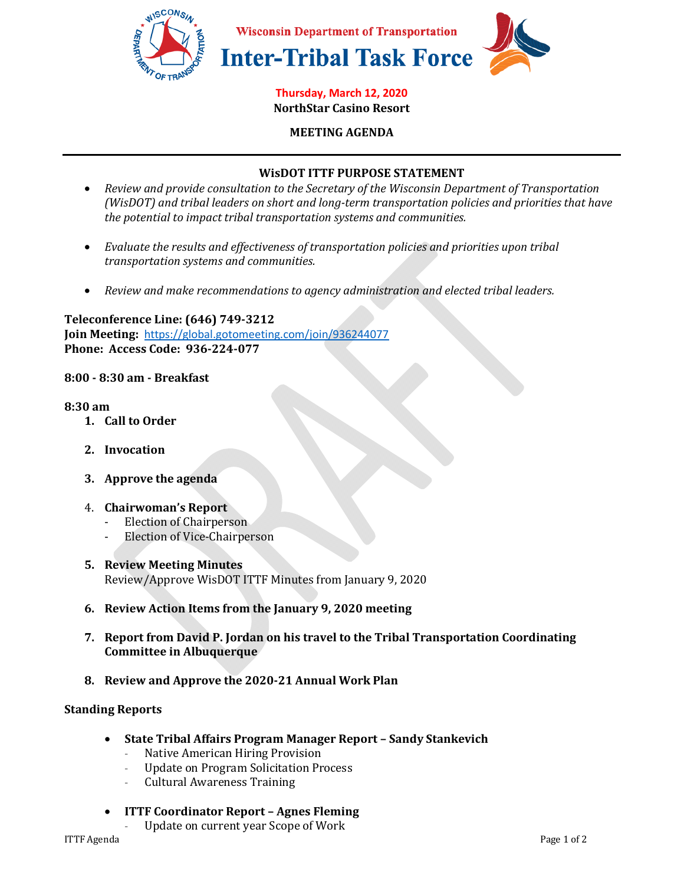

#### **Thursday, March 12, 2020 NorthStar Casino Resort**

**MEETING AGENDA** 

### **WisDOT ITTF PURPOSE STATEMENT**

- *Review and provide consultation to the Secretary of the Wisconsin Department of Transportation (WisDOT) and tribal leaders on short and long-term transportation policies and priorities that have the potential to impact tribal transportation systems and communities.*
- *Evaluate the results and effectiveness of transportation policies and priorities upon tribal transportation systems and communities.*
- *Review and make recommendations to agency administration and elected tribal leaders.*

**Teleconference Line: (646) 749-3212 Join Meeting:** https://global.gotomeeting.com/join/936244077 **Phone: Access Code: 936-224-077** 

### **8:00 - 8:30 am - Breakfast**

#### **8:30 am**

- **1. Call to Order**
- **2. Invocation**
- **3. Approve the agenda**

### 4. **Chairwoman's Report**

- Election of Chairperson
- Election of Vice-Chairperson
- **5. Review Meeting Minutes**  Review/Approve WisDOT ITTF Minutes from January 9, 2020
- **6. Review Action Items from the January 9, 2020 meeting**
- **7. Report from David P. Jordan on his travel to the Tribal Transportation Coordinating Committee in Albuquerque**
- **8. Review and Approve the 2020-21 Annual Work Plan**

### **Standing Reports**

- **State Tribal Affairs Program Manager Report Sandy Stankevich** 
	- Native American Hiring Provision
	- Update on Program Solicitation Process
	- Cultural Awareness Training
- **ITTF Coordinator Report Agnes Fleming**

Update on current year Scope of Work